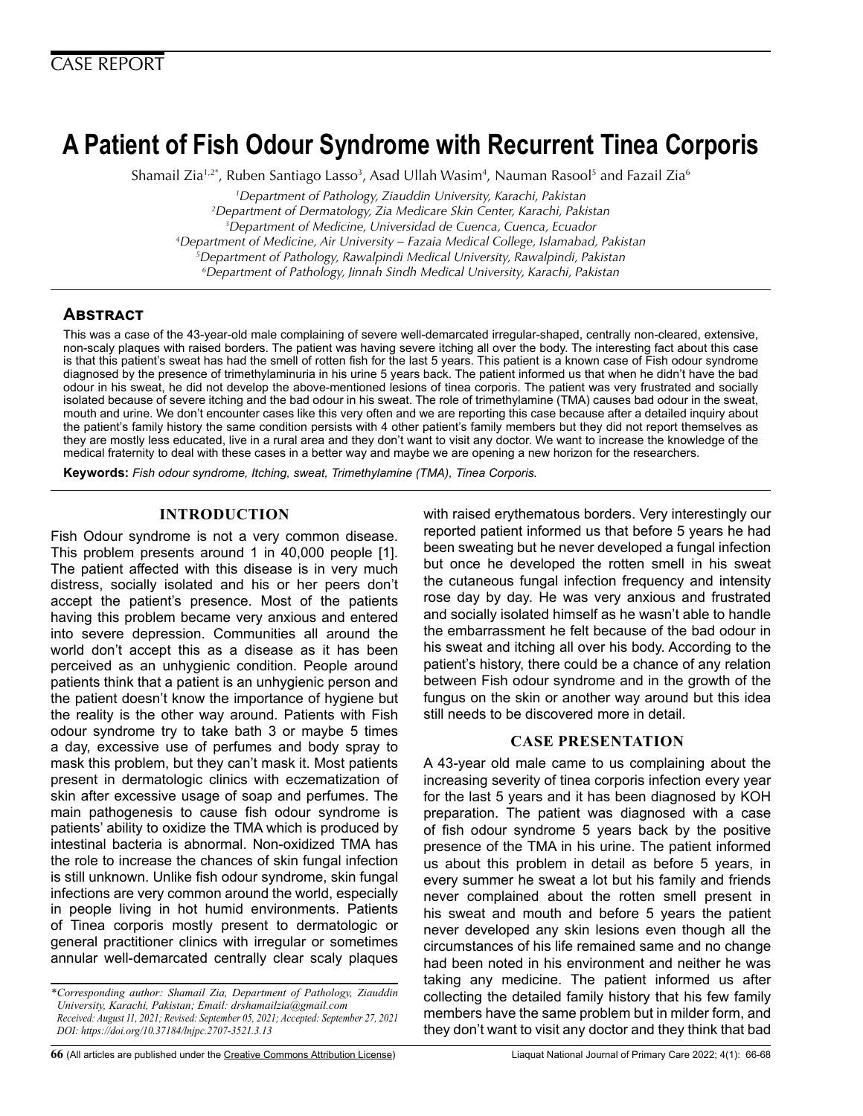# **A Patient of Fish Odour Syndrome with Recurrent Tinea Corporis**

Shamail Zia<sup>1,2\*</sup>, Ruben Santiago Lasso<sup>3</sup>, Asad Ullah Wasim<sup>4</sup>, Nauman Rasool<sup>5</sup> and Fazail Zia<sup>6</sup>

 *Department of Pathology, Ziauddin University, Karachi, Pakistan Department of Dermatology, Zia Medicare Skin Center, Karachi, Pakistan Department of Medicine, Universidad de Cuenca, Cuenca, Ecuador 4 Department of Medicine, Air University – Fazaia Medical College, Islamabad, Pakistan Department of Pathology, Rawalpindi Medical University, Rawalpindi, Pakistan Department of Pathology, Jinnah Sindh Medical University, Karachi, Pakistan* 

# **Abstract**

This was a case of the 43-year-old male complaining of severe well-demarcated irregular-shaped, centrally non-cleared, extensive, non-scaly plaques with raised borders. The patient was having severe itching all over the body. The interesting fact about this case is that this patient's sweat has had the smell of rotten fish for the last 5 years. This patient is a known case of Fish odour syndrome diagnosed by the presence of trimethylaminuria in his urine 5 years back. The patient informed us that when he didn't have the bad odour in his sweat, he did not develop the above-mentioned lesions of tinea corporis. The patient was very frustrated and socially isolated because of severe itching and the bad odour in his sweat. The role of trimethylamine (TMA) causes bad odour in the sweat, mouth and urine. We don't encounter cases like this very often and we are reporting this case because after a detailed inquiry about the patient's family history the same condition persists with 4 other patient's family members but they did not report themselves as they are mostly less educated, live in a rural area and they don't want to visit any doctor. We want to increase the knowledge of the medical fraternity to deal with these cases in a better way and maybe we are opening a new horizon for the researchers.

**Keywords:** *Fish odour syndrome, Itching, sweat, Trimethylamine (TMA), Tinea Corporis.*

# **INTRODUCTION**

Fish Odour syndrome is not a very common disease. This problem presents around 1 in 40,000 people [1]. The patient affected with this disease is in very much distress, socially isolated and his or her peers don't accept the patient's presence. Most of the patients having this problem became very anxious and entered into severe depression. Communities all around the world don't accept this as a disease as it has been perceived as an unhygienic condition. People around patients think that a patient is an unhygienic person and the patient doesn't know the importance of hygiene but the reality is the other way around. Patients with Fish odour syndrome try to take bath 3 or maybe 5 times a day, excessive use of perfumes and body spray to mask this problem, but they can't mask it. Most patients present in dermatologic clinics with eczematization of skin after excessive usage of soap and perfumes. The main pathogenesis to cause fish odour syndrome is patients' ability to oxidize the TMA which is produced by intestinal bacteria is abnormal. Non-oxidized TMA has the role to increase the chances of skin fungal infection is still unknown. Unlike fish odour syndrome, skin fungal infections are very common around the world, especially in people living in hot humid environments. Patients of Tinea corporis mostly present to dermatologic or general practitioner clinics with irregular or sometimes annular well-demarcated centrally clear scaly plaques

**66** (All articles are published under the [Creative Commons Attribution License\)](https://creativecommons.org/licenses/by/4.0/) Liaquat National Journal of Primary Care 2022; 4(1): 66-68

with raised erythematous borders. Very interestingly our reported patient informed us that before 5 years he had been sweating but he never developed a fungal infection but once he developed the rotten smell in his sweat the cutaneous fungal infection frequency and intensity rose day by day. He was very anxious and frustrated and socially isolated himself as he wasn't able to handle the embarrassment he felt because of the bad odour in his sweat and itching all over his body. According to the patient's history, there could be a chance of any relation between Fish odour syndrome and in the growth of the fungus on the skin or another way around but this idea still needs to be discovered more in detail.

# **CASE PRESENTATION**

A 43-year old male came to us complaining about the increasing severity of tinea corporis infection every year for the last 5 years and it has been diagnosed by KOH preparation. The patient was diagnosed with a case of fish odour syndrome 5 years back by the positive presence of the TMA in his urine. The patient informed us about this problem in detail as before 5 years, in every summer he sweat a lot but his family and friends never complained about the rotten smell present in his sweat and mouth and before 5 years the patient never developed any skin lesions even though all the circumstances of his life remained same and no change had been noted in his environment and neither he was taking any medicine. The patient informed us after collecting the detailed family history that his few family members have the same problem but in milder form, and they don't want to visit any doctor and they think that bad

*<sup>\*</sup>Corresponding author: Shamail Zia, Department of Pathology, Ziauddin University, Karachi, Pakistan; Email: drshamailzia@gmail.com Received: August 11, 2021; Revised: September 05, 2021; Accepted: September 27, 2021 DOI: https://doi.org/10.37184/lnjpc.2707-3521.3.13*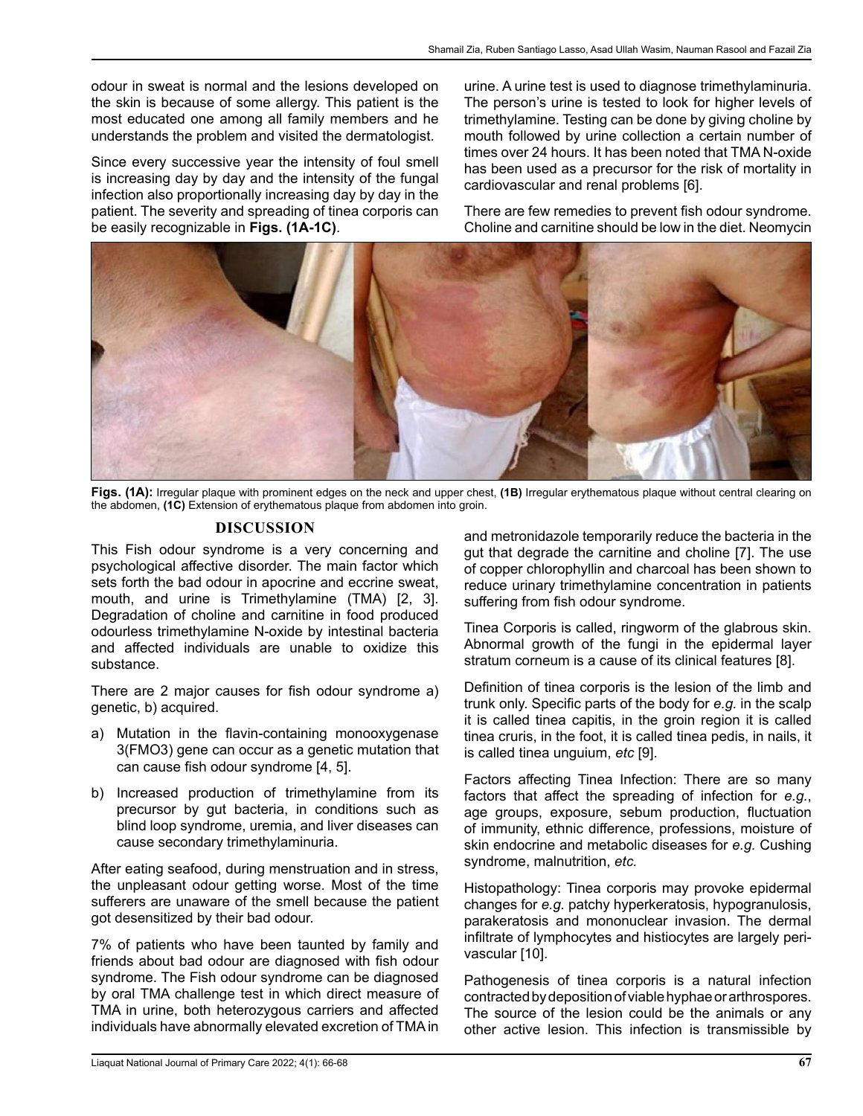odour in sweat is normal and the lesions developed on the skin is because of some allergy. This patient is the most educated one among all family members and he understands the problem and visited the dermatologist.

Since every successive year the intensity of foul smell is increasing day by day and the intensity of the fungal infection also proportionally increasing day by day in the patient. The severity and spreading of tinea corporis can be easily recognizable in **Figs. (1A-1C)**.

urine. A urine test is used to diagnose trimethylaminuria. The person's urine is tested to look for higher levels of trimethylamine. Testing can be done by giving choline by mouth followed by urine collection a certain number of times over 24 hours. It has been noted that TMA N-oxide has been used as a precursor for the risk of mortality in cardiovascular and renal problems [6].

There are few remedies to prevent fish odour syndrome. Choline and carnitine should be low in the diet. Neomycin



**Figs. (1A):** Irregular plaque with prominent edges on the neck and upper chest, **(1B)** Irregular erythematous plaque without central clearing on the abdomen, **(1C)** Extension of erythematous plaque from abdomen into groin.

# **DISCUSSION**

This Fish odour syndrome is a very concerning and psychological affective disorder. The main factor which sets forth the bad odour in apocrine and eccrine sweat, mouth, and urine is Trimethylamine (TMA) [2, 3]. Degradation of choline and carnitine in food produced odourless trimethylamine N-oxide by intestinal bacteria and affected individuals are unable to oxidize this substance.

There are 2 major causes for fish odour syndrome a) genetic, b) acquired.

- a) Mutation in the flavin-containing monooxygenase 3(FMO3) gene can occur as a genetic mutation that can cause fish odour syndrome [4, 5].
- b) Increased production of trimethylamine from its precursor by gut bacteria, in conditions such as blind loop syndrome, uremia, and liver diseases can cause secondary trimethylaminuria.

After eating seafood, during menstruation and in stress, the unpleasant odour getting worse. Most of the time sufferers are unaware of the smell because the patient got desensitized by their bad odour.

7% of patients who have been taunted by family and friends about bad odour are diagnosed with fish odour syndrome. The Fish odour syndrome can be diagnosed by oral TMA challenge test in which direct measure of TMA in urine, both heterozygous carriers and affected individuals have abnormally elevated excretion of TMA in

and metronidazole temporarily reduce the bacteria in the gut that degrade the carnitine and choline [7]. The use of copper chlorophyllin and charcoal has been shown to reduce urinary trimethylamine concentration in patients suffering from fish odour syndrome.

Tinea Corporis is called, ringworm of the glabrous skin. Abnormal growth of the fungi in the epidermal layer stratum corneum is a cause of its clinical features [8].

Definition of tinea corporis is the lesion of the limb and trunk only. Specific parts of the body for *e.g.* in the scalp it is called tinea capitis, in the groin region it is called tinea cruris, in the foot, it is called tinea pedis, in nails, it is called tinea unguium, *etc* [9].

Factors affecting Tinea Infection: There are so many factors that affect the spreading of infection for *e.g.*, age groups, exposure, sebum production, fluctuation of immunity, ethnic difference, professions, moisture of skin endocrine and metabolic diseases for *e.g.* Cushing syndrome, malnutrition, *etc.*

Histopathology: Tinea corporis may provoke epidermal changes for *e.g.* patchy hyperkeratosis, hypogranulosis, parakeratosis and mononuclear invasion. The dermal infiltrate of lymphocytes and histiocytes are largely perivascular [10].

Pathogenesis of tinea corporis is a natural infection contracted by deposition of viable hyphae or arthrospores. The source of the lesion could be the animals or any other active lesion. This infection is transmissible by